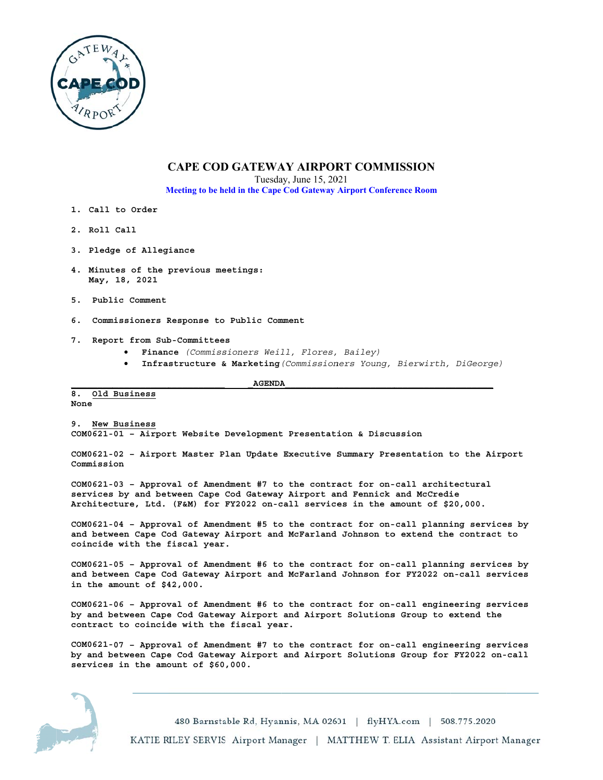

# **CAPE COD GATEWAY AIRPORT COMMISSION**

Tuesday, June 15, 2021

Meeting to be held in the Cape Cod Gateway Airport Conference Room

- 1. Call to Order
- 2. Roll Call
- 3. Pledge of Allegiance
- 4. Minutes of the previous meetings: May, 18, 2021
- 5. Public Comment
- 6. Commissioners Response to Public Comment
- 7. Report from Sub-Committees
	- · Finance (Commissioners Weill, Flores, Bailey)
	- Infrastructure & Marketing (Commissioners Young, Bierwirth, DiGeorge)

**AGENDA** 

#### 8. Old Business None

9. New Business COM0621-01 - Airport Website Development Presentation & Discussion

COM0621-02 - Airport Master Plan Update Executive Summary Presentation to the Airport Commission

COM0621-03 - Approval of Amendment #7 to the contract for on-call architectural services by and between Cape Cod Gateway Airport and Fennick and McCredie Architecture, Ltd. (F&M) for FY2022 on-call services in the amount of \$20,000.

COM0621-04 - Approval of Amendment #5 to the contract for on-call planning services by and between Cape Cod Gateway Airport and McFarland Johnson to extend the contract to coincide with the fiscal year.

COM0621-05 - Approval of Amendment #6 to the contract for on-call planning services by and between Cape Cod Gateway Airport and McFarland Johnson for FY2022 on-call services in the amount of  $$42,000$ .

COM0621-06 - Approval of Amendment #6 to the contract for on-call engineering services by and between Cape Cod Gateway Airport and Airport Solutions Group to extend the contract to coincide with the fiscal year.

COM0621-07 - Approval of Amendment #7 to the contract for on-call engineering services by and between Cape Cod Gateway Airport and Airport Solutions Group for FY2022 on-call services in the amount of \$60,000.

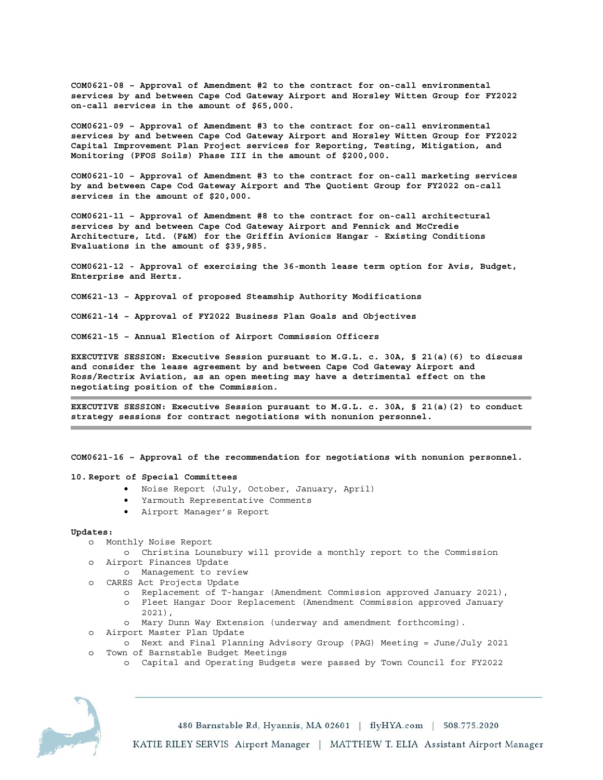**COM0621-08 – Approval of Amendment #2 to the contract for on-call environmental services by and between Cape Cod Gateway Airport and Horsley Witten Group for FY2022 on-call services in the amount of \$65,000.** 

**COM0621-09 – Approval of Amendment #3 to the contract for on-call environmental services by and between Cape Cod Gateway Airport and Horsley Witten Group for FY2022 Capital Improvement Plan Project services for Reporting, Testing, Mitigation, and Monitoring (PFOS Soils) Phase III in the amount of \$200,000.** 

**COM0621-10 – Approval of Amendment #3 to the contract for on-call marketing services by and between Cape Cod Gateway Airport and The Quotient Group for FY2022 on-call services in the amount of \$20,000.** 

**COM0621-11 – Approval of Amendment #8 to the contract for on-call architectural services by and between Cape Cod Gateway Airport and Fennick and McCredie Architecture, Ltd. (F&M) for the Griffin Avionics Hangar - Existing Conditions Evaluations in the amount of \$39,985.** 

**COM0621-12 - Approval of exercising the 36-month lease term option for Avis, Budget, Enterprise and Hertz.** 

**COM621-13 – Approval of proposed Steamship Authority Modifications** 

**COM621-14 – Approval of FY2022 Business Plan Goals and Objectives** 

**COM621-15 – Annual Election of Airport Commission Officers** 

**EXECUTIVE SESSION: Executive Session pursuant to M.G.L. c. 30A, § 21(a)(6) to discuss and consider the lease agreement by and between Cape Cod Gateway Airport and Ross/Rectrix Aviation, as an open meeting may have a detrimental effect on the negotiating position of the Commission.** 

**EXECUTIVE SESSION: Executive Session pursuant to M.G.L. c. 30A, § 21(a)(2) to conduct strategy sessions for contract negotiations with nonunion personnel.** 

**COM0621-16 – Approval of the recommendation for negotiations with nonunion personnel.** 

# **10. Report of Special Committees**

- Noise Report (July, October, January, April)
- Yarmouth Representative Comments
- Airport Manager's Report

### **Updates:**

- o Monthly Noise Report
	- o Christina Lounsbury will provide a monthly report to the Commission
- o Airport Finances Update
	- o Management to review
- o CARES Act Projects Update
	- o Replacement of T-hangar (Amendment Commission approved January 2021), o Fleet Hangar Door Replacement (Amendment Commission approved January 2021),
	- o Mary Dunn Way Extension (underway and amendment forthcoming).
- o Airport Master Plan Update
- o Next and Final Planning Advisory Group (PAG) Meeting = June/July 2021 o Town of Barnstable Budget Meetings
	- o Capital and Operating Budgets were passed by Town Council for FY2022



480 Barnstable Rd, Hyannis, MA 02601 | flyHYA.com | 508.775.2020

KATIE RILEY SERVIS Airport Manager | MATTHEW T. ELIA Assistant Airport Manager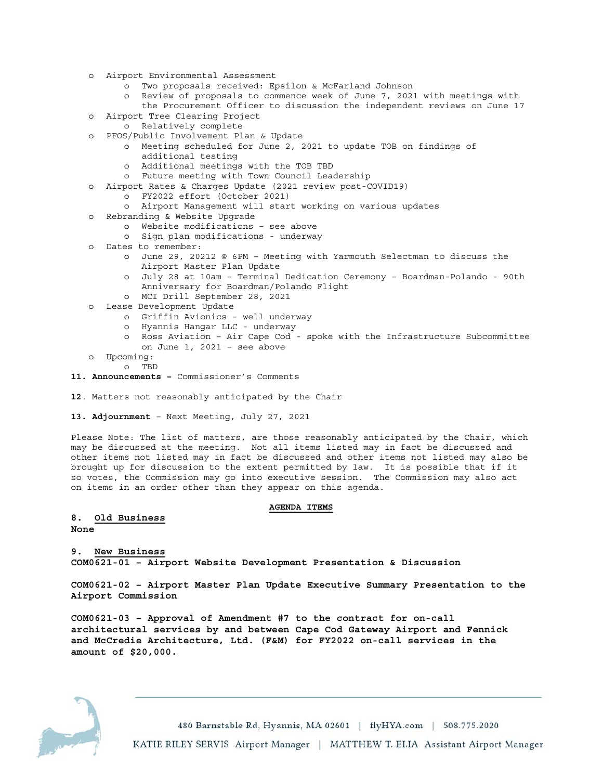- o Airport Environmental Assessment
	- o Two proposals received: Epsilon & McFarland Johnson
	- o Review of proposals to commence week of June 7, 2021 with meetings with the Procurement Officer to discussion the independent reviews on June 17
- o Airport Tree Clearing Project
- o Relatively complete
- o PFOS/Public Involvement Plan & Update
	- o Meeting scheduled for June 2, 2021 to update TOB on findings of additional testing
	- o Additional meetings with the TOB TBD
	- o Future meeting with Town Council Leadership
- o Airport Rates & Charges Update (2021 review post-COVID19)
	- o FY2022 effort (October 2021)
	- o Airport Management will start working on various updates
- o Rebranding & Website Upgrade
	- o Website modifications see above
	- o Sign plan modifications underway
- o Dates to remember:
	- o June 29, 20212 @ 6PM Meeting with Yarmouth Selectman to discuss the Airport Master Plan Update
	- o July 28 at 10am Terminal Dedication Ceremony Boardman-Polando 90th Anniversary for Boardman/Polando Flight
	- o MCI Drill September 28, 2021
- o Lease Development Update
	- o Griffin Avionics well underway
	- o Hyannis Hangar LLC underway
	- o Ross Aviation Air Cape Cod spoke with the Infrastructure Subcommittee on June 1, 2021 – see above
- o Upcoming:
	- o TBD
- **11. Announcements** Commissioner's Comments
- **12**. Matters not reasonably anticipated by the Chair
- **13. Adjournment** Next Meeting, July 27, 2021

Please Note: The list of matters, are those reasonably anticipated by the Chair, which may be discussed at the meeting. Not all items listed may in fact be discussed and other items not listed may in fact be discussed and other items not listed may also be brought up for discussion to the extent permitted by law. It is possible that if it so votes, the Commission may go into executive session. The Commission may also act on items in an order other than they appear on this agenda.

# **AGENDA ITEMS**

# **8. Old Business None**

**9. New Business COM0621-01 – Airport Website Development Presentation & Discussion** 

**COM0621-02 – Airport Master Plan Update Executive Summary Presentation to the Airport Commission** 

**COM0621-03 – Approval of Amendment #7 to the contract for on-call architectural services by and between Cape Cod Gateway Airport and Fennick and McCredie Architecture, Ltd. (F&M) for FY2022 on-call services in the amount of \$20,000.** 

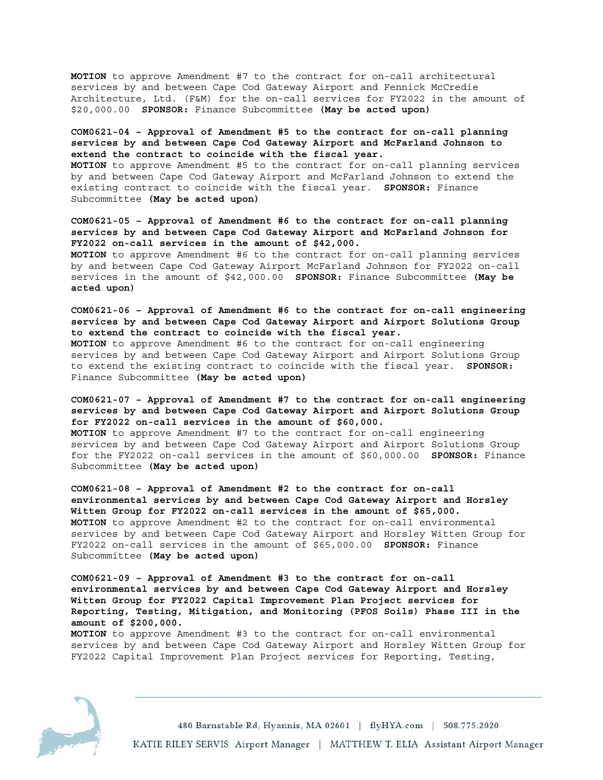**MOTION** to approve Amendment #7 to the contract for on-call architectural services by and between Cape Cod Gateway Airport and Fennick McCredie Architecture, Ltd. (F&M) for the on-call services for FY2022 in the amount of \$20,000.00 **SPONSOR:** Finance Subcommittee **(May be acted upon)** 

**COM0621-04 – Approval of Amendment #5 to the contract for on-call planning services by and between Cape Cod Gateway Airport and McFarland Johnson to extend the contract to coincide with the fiscal year. MOTION** to approve Amendment #5 to the contract for on-call planning services

by and between Cape Cod Gateway Airport and McFarland Johnson to extend the existing contract to coincide with the fiscal year. **SPONSOR:** Finance Subcommittee **(May be acted upon)** 

**COM0621-05 – Approval of Amendment #6 to the contract for on-call planning services by and between Cape Cod Gateway Airport and McFarland Johnson for FY2022 on-call services in the amount of \$42,000.** 

**MOTION** to approve Amendment #6 to the contract for on-call planning services by and between Cape Cod Gateway Airport McFarland Johnson for FY2022 on-call services in the amount of \$42,000.00 **SPONSOR:** Finance Subcommittee **(May be acted upon)** 

**COM0621-06 – Approval of Amendment #6 to the contract for on-call engineering services by and between Cape Cod Gateway Airport and Airport Solutions Group to extend the contract to coincide with the fiscal year.** 

**MOTION** to approve Amendment #6 to the contract for on-call engineering services by and between Cape Cod Gateway Airport and Airport Solutions Group to extend the existing contract to coincide with the fiscal year. **SPONSOR:** Finance Subcommittee **(May be acted upon)** 

**COM0621-07 – Approval of Amendment #7 to the contract for on-call engineering services by and between Cape Cod Gateway Airport and Airport Solutions Group for FY2022 on-call services in the amount of \$60,000.** 

**MOTION** to approve Amendment #7 to the contract for on-call engineering services by and between Cape Cod Gateway Airport and Airport Solutions Group for the FY2022 on-call services in the amount of \$60,000.00 **SPONSOR:** Finance Subcommittee **(May be acted upon)** 

**COM0621-08 – Approval of Amendment #2 to the contract for on-call environmental services by and between Cape Cod Gateway Airport and Horsley Witten Group for FY2022 on-call services in the amount of \$65,000. MOTION** to approve Amendment #2 to the contract for on-call environmental services by and between Cape Cod Gateway Airport and Horsley Witten Group for FY2022 on-call services in the amount of \$65,000.00 **SPONSOR:** Finance Subcommittee **(May be acted upon)** 

**COM0621-09 – Approval of Amendment #3 to the contract for on-call environmental services by and between Cape Cod Gateway Airport and Horsley Witten Group for FY2022 Capital Improvement Plan Project services for Reporting, Testing, Mitigation, and Monitoring (PFOS Soils) Phase III in the amount of \$200,000.** 

**MOTION** to approve Amendment #3 to the contract for on-call environmental services by and between Cape Cod Gateway Airport and Horsley Witten Group for FY2022 Capital Improvement Plan Project services for Reporting, Testing,

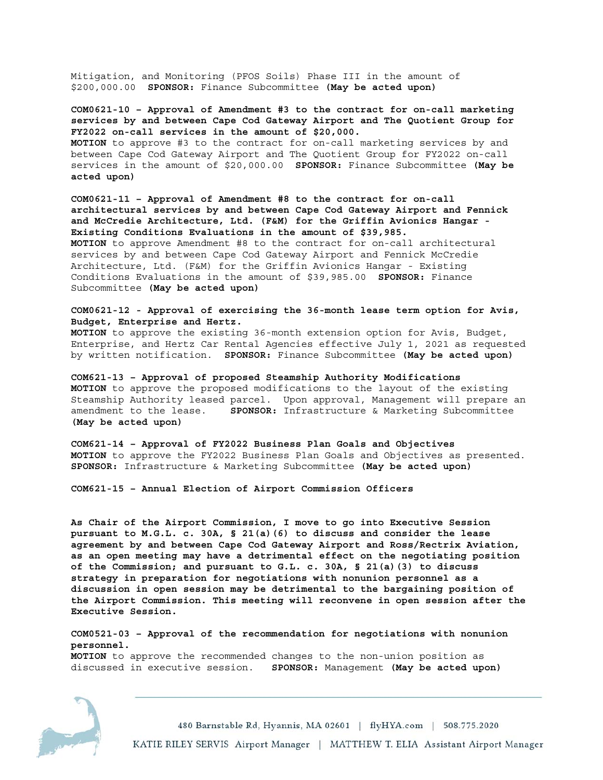Mitigation, and Monitoring (PFOS Soils) Phase III in the amount of \$200,000.00 **SPONSOR:** Finance Subcommittee **(May be acted upon)** 

**COM0621-10 – Approval of Amendment #3 to the contract for on-call marketing services by and between Cape Cod Gateway Airport and The Quotient Group for FY2022 on-call services in the amount of \$20,000. MOTION** to approve #3 to the contract for on-call marketing services by and between Cape Cod Gateway Airport and The Quotient Group for FY2022 on-call services in the amount of \$20,000.00 **SPONSOR:** Finance Subcommittee **(May be acted upon)** 

**COM0621-11 – Approval of Amendment #8 to the contract for on-call architectural services by and between Cape Cod Gateway Airport and Fennick and McCredie Architecture, Ltd. (F&M) for the Griffin Avionics Hangar - Existing Conditions Evaluations in the amount of \$39,985. MOTION** to approve Amendment #8 to the contract for on-call architectural services by and between Cape Cod Gateway Airport and Fennick McCredie Architecture, Ltd. (F&M) for the Griffin Avionics Hangar - Existing Conditions Evaluations in the amount of \$39,985.00 **SPONSOR:** Finance Subcommittee **(May be acted upon)** 

**COM0621-12 - Approval of exercising the 36-month lease term option for Avis, Budget, Enterprise and Hertz.** 

**MOTION** to approve the existing 36-month extension option for Avis, Budget, Enterprise, and Hertz Car Rental Agencies effective July 1, 2021 as requested by written notification. **SPONSOR:** Finance Subcommittee **(May be acted upon)** 

**COM621-13 – Approval of proposed Steamship Authority Modifications MOTION** to approve the proposed modifications to the layout of the existing Steamship Authority leased parcel. Upon approval, Management will prepare an amendment to the lease. **SPONSOR:** Infrastructure & Marketing Subcommittee **(May be acted upon)** 

**COM621-14 – Approval of FY2022 Business Plan Goals and Objectives MOTION** to approve the FY2022 Business Plan Goals and Objectives as presented. **SPONSOR:** Infrastructure & Marketing Subcommittee **(May be acted upon)** 

**COM621-15 – Annual Election of Airport Commission Officers** 

**As Chair of the Airport Commission, I move to go into Executive Session pursuant to M.G.L. c. 30A, § 21(a)(6) to discuss and consider the lease agreement by and between Cape Cod Gateway Airport and Ross/Rectrix Aviation, as an open meeting may have a detrimental effect on the negotiating position of the Commission; and pursuant to G.L. c. 30A, § 21(a)(3) to discuss strategy in preparation for negotiations with nonunion personnel as a discussion in open session may be detrimental to the bargaining position of the Airport Commission. This meeting will reconvene in open session after the Executive Session.** 

**COM0521-03 – Approval of the recommendation for negotiations with nonunion personnel. MOTION** to approve the recommended changes to the non-union position as discussed in executive session. **SPONSOR:** Management **(May be acted upon)**